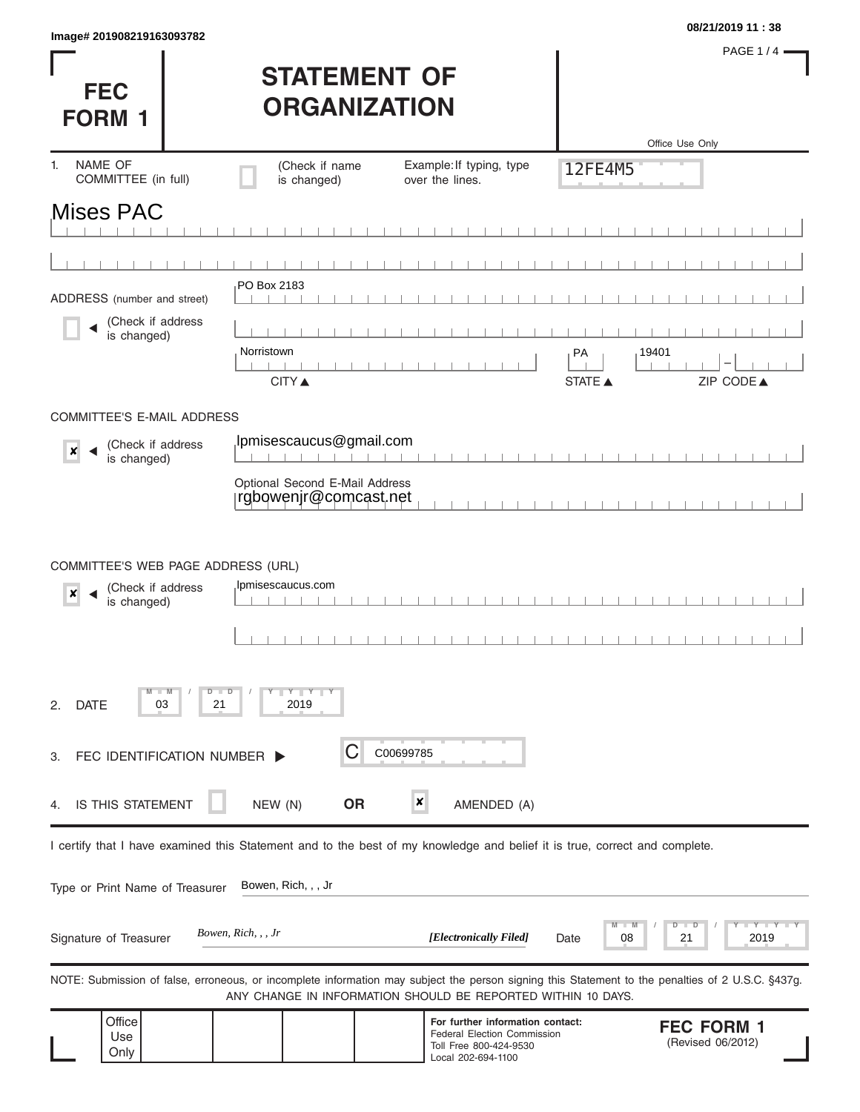|                           | 08/21/2019 11:38 |
|---------------------------|------------------|
| lmage# 201908219163093782 |                  |

**FEC** 

PAGE 1/4 $-$ 

| <b>STATEMENT OF</b> |
|---------------------|
| <b>ORGANIZATION</b> |

| <b>FORM 1</b>                                                                              |                           | UNUMINIANI IVIN                                                             |                                                                                                                            |                                                                                                                                                   |
|--------------------------------------------------------------------------------------------|---------------------------|-----------------------------------------------------------------------------|----------------------------------------------------------------------------------------------------------------------------|---------------------------------------------------------------------------------------------------------------------------------------------------|
|                                                                                            |                           |                                                                             |                                                                                                                            | Office Use Only                                                                                                                                   |
| NAME OF<br>1.<br>COMMITTEE (in full)                                                       |                           | (Check if name<br>is changed)                                               | Example: If typing, type<br>over the lines.                                                                                | 12FE4M5                                                                                                                                           |
| Mises PAC                                                                                  |                           |                                                                             |                                                                                                                            |                                                                                                                                                   |
|                                                                                            |                           |                                                                             |                                                                                                                            |                                                                                                                                                   |
| ADDRESS (number and street)                                                                |                           | PO Box 2183                                                                 |                                                                                                                            |                                                                                                                                                   |
| (Check if address<br>is changed)                                                           |                           | Norristown<br><b>CITY ▲</b>                                                 |                                                                                                                            | 19401<br>PA<br>ZIP CODE▲<br><b>STATE ▲</b>                                                                                                        |
| <b>COMMITTEE'S E-MAIL ADDRESS</b>                                                          |                           |                                                                             |                                                                                                                            |                                                                                                                                                   |
| (Check if address<br>$\boldsymbol{x}$<br>is changed)                                       |                           | Ipmisescaucus@gmail.com                                                     |                                                                                                                            |                                                                                                                                                   |
|                                                                                            |                           | Optional Second E-Mail Address<br>rgbowenjr@comcast.net                     |                                                                                                                            |                                                                                                                                                   |
| COMMITTEE'S WEB PAGE ADDRESS (URL)<br>(Check if address<br>$\boldsymbol{x}$<br>is changed) |                           | Ipmisescaucus.com                                                           |                                                                                                                            |                                                                                                                                                   |
| $-W$<br><b>DATE</b><br>03<br>2.                                                            | D<br>$\blacksquare$<br>21 | $\begin{array}{c c c c c} \hline & Y & Y & Y \\ \hline \end{array}$<br>2019 |                                                                                                                            |                                                                                                                                                   |
| FEC IDENTIFICATION NUMBER D<br>3.                                                          |                           | С                                                                           | C00699785                                                                                                                  |                                                                                                                                                   |
| IS THIS STATEMENT<br>4.                                                                    |                           | <b>OR</b><br>NEW (N)                                                        | ×<br>AMENDED (A)                                                                                                           |                                                                                                                                                   |
|                                                                                            |                           |                                                                             | I certify that I have examined this Statement and to the best of my knowledge and belief it is true, correct and complete. |                                                                                                                                                   |
| Type or Print Name of Treasurer                                                            |                           | Bowen, Rich, , , Jr                                                         |                                                                                                                            |                                                                                                                                                   |
| Signature of Treasurer                                                                     | Bowen, Rich, , , Jr       |                                                                             | [Electronically Filed]                                                                                                     | Y I Y<br>2019<br>08<br>21<br>Date                                                                                                                 |
|                                                                                            |                           |                                                                             | ANY CHANGE IN INFORMATION SHOULD BE REPORTED WITHIN 10 DAYS.                                                               | NOTE: Submission of false, erroneous, or incomplete information may subject the person signing this Statement to the penalties of 2 U.S.C. §437g. |
| Office<br>Use<br>Only                                                                      |                           |                                                                             | For further information contact:<br>Federal Election Commission<br>Toll Free 800-424-9530<br>Local 202-694-1100            | <b>FEC FORM 1</b><br>(Revised 06/2012)                                                                                                            |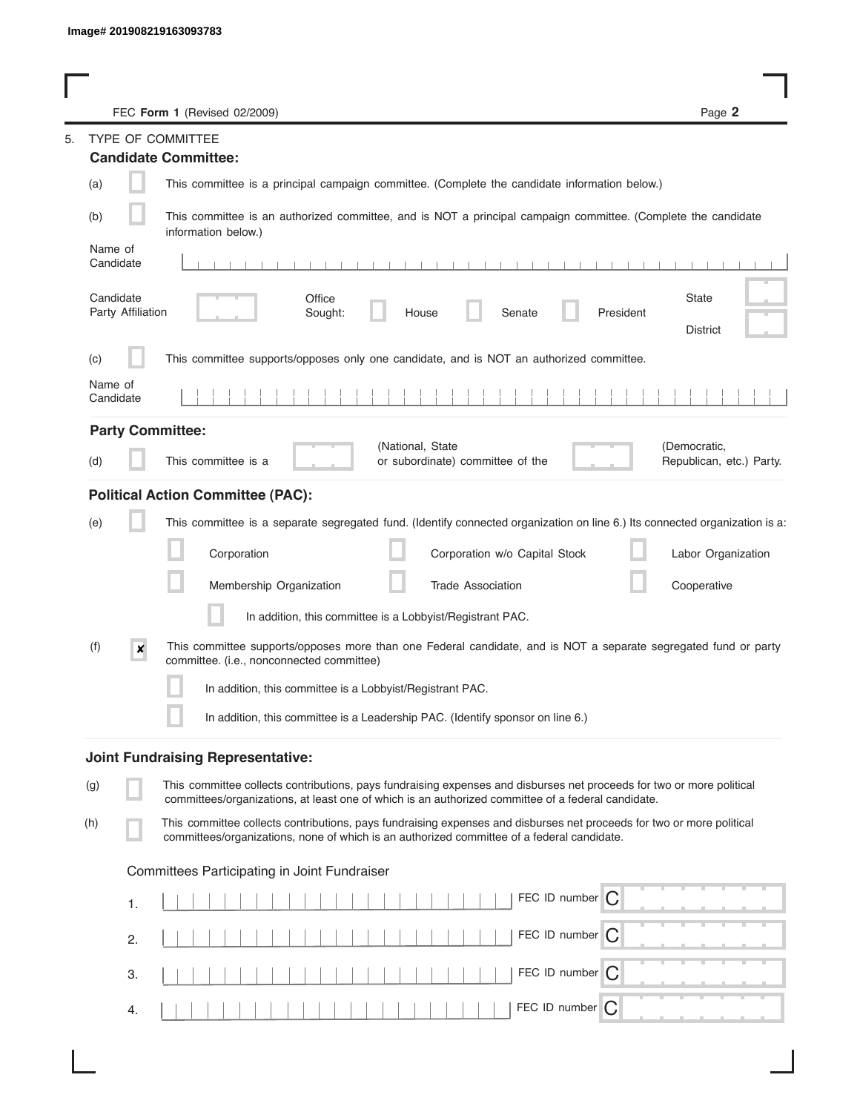|                                | FEC Form 1 (Revised 02/2009)                                                                                                                                                                                                | Page 2                   |
|--------------------------------|-----------------------------------------------------------------------------------------------------------------------------------------------------------------------------------------------------------------------------|--------------------------|
|                                | TYPE OF COMMITTEE                                                                                                                                                                                                           |                          |
|                                | <b>Candidate Committee:</b>                                                                                                                                                                                                 |                          |
| (a)                            | This committee is a principal campaign committee. (Complete the candidate information below.)                                                                                                                               |                          |
| (b)                            | This committee is an authorized committee, and is NOT a principal campaign committee. (Complete the candidate<br>information below.)                                                                                        |                          |
| Name of<br>Candidate           |                                                                                                                                                                                                                             |                          |
| Candidate<br>Party Affiliation | Office<br>Senate<br>President<br>Sought:<br>House                                                                                                                                                                           | State<br><b>District</b> |
| (c)                            | This committee supports/opposes only one candidate, and is NOT an authorized committee.                                                                                                                                     |                          |
| Name of<br>Candidate           |                                                                                                                                                                                                                             |                          |
|                                | <b>Party Committee:</b>                                                                                                                                                                                                     |                          |
| (d)                            | (National, State<br>(Democratic,<br>This committee is a<br>or subordinate) committee of the                                                                                                                                 | Republican, etc.) Party. |
|                                | <b>Political Action Committee (PAC):</b>                                                                                                                                                                                    |                          |
| (e)                            | This committee is a separate segregated fund. (Identify connected organization on line 6.) Its connected organization is a:                                                                                                 |                          |
|                                | Corporation<br>Corporation w/o Capital Stock                                                                                                                                                                                | Labor Organization       |
|                                | Membership Organization<br><b>Trade Association</b>                                                                                                                                                                         | Cooperative              |
|                                | In addition, this committee is a Lobbyist/Registrant PAC.                                                                                                                                                                   |                          |
| (f)<br>×                       | This committee supports/opposes more than one Federal candidate, and is NOT a separate segregated fund or party<br>committee. (i.e., nonconnected committee)                                                                |                          |
|                                | In addition, this committee is a Lobbyist/Registrant PAC.                                                                                                                                                                   |                          |
|                                | In addition, this committee is a Leadership PAC. (Identify sponsor on line 6.)                                                                                                                                              |                          |
|                                | <b>Joint Fundraising Representative:</b>                                                                                                                                                                                    |                          |
| (g)                            | This committee collects contributions, pays fundraising expenses and disburses net proceeds for two or more political<br>committees/organizations, at least one of which is an authorized committee of a federal candidate. |                          |
| (h)                            | This committee collects contributions, pays fundraising expenses and disburses net proceeds for two or more political<br>committees/organizations, none of which is an authorized committee of a federal candidate.         |                          |
|                                | Committees Participating in Joint Fundraiser                                                                                                                                                                                |                          |
| 1.                             | FEC ID number $\bigcap$                                                                                                                                                                                                     |                          |
| 2.                             | FEC ID number C                                                                                                                                                                                                             |                          |
| 3.                             | FEC ID number $\bigcap$                                                                                                                                                                                                     |                          |
| 4.                             | FEC ID number $\bigcap$                                                                                                                                                                                                     |                          |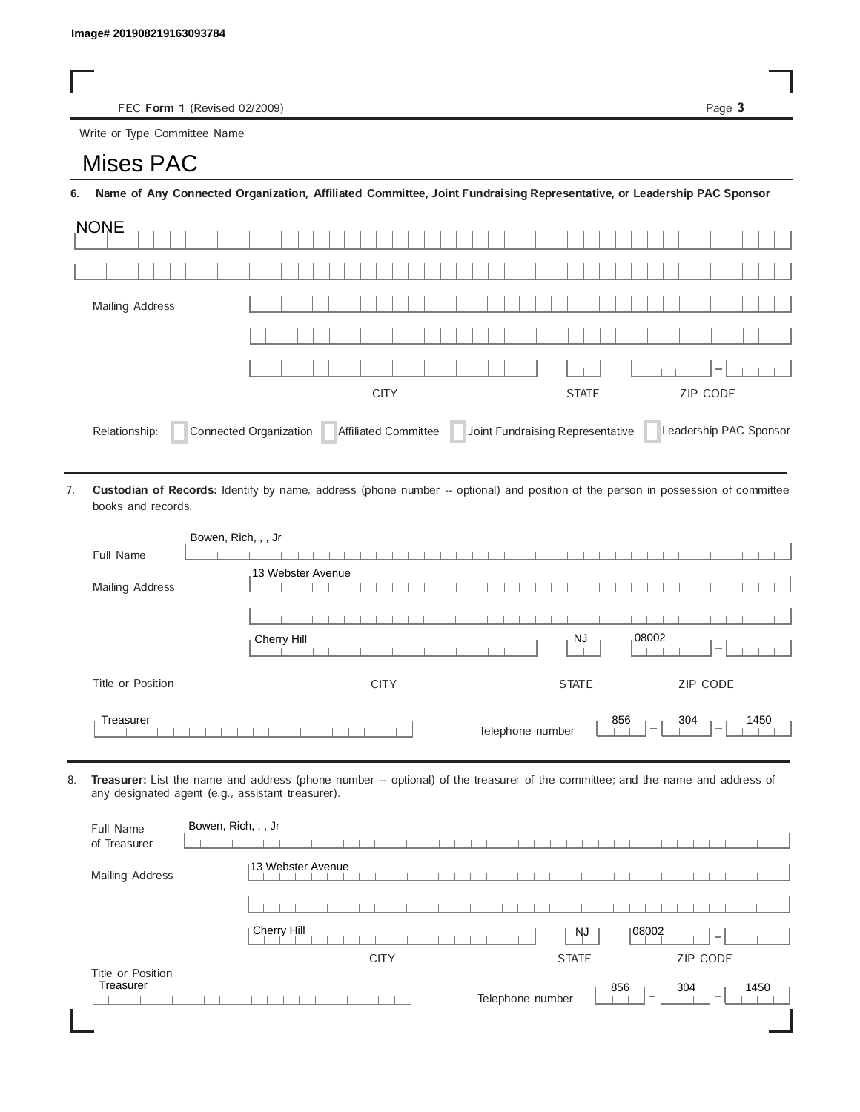FEC Form 1 (Revised 02/2009) Page 3

Write or Type Committee Name

## Image# 201908219163093784<br>
FEC Form 1 (Revise<br>
Write or Type Committee Na<br> **MISES PAC**

6. Name of Any Connected Organization, Affiliated Committee, Joint Fundraising Representative, or Leadership PAC Sponsor

| <b>NONE</b>                                                                                                                  |  |             |              |          |  |  |  |
|------------------------------------------------------------------------------------------------------------------------------|--|-------------|--------------|----------|--|--|--|
|                                                                                                                              |  |             |              |          |  |  |  |
| Mailing Address                                                                                                              |  |             |              |          |  |  |  |
|                                                                                                                              |  |             |              |          |  |  |  |
|                                                                                                                              |  |             |              | $-1$     |  |  |  |
|                                                                                                                              |  | <b>CITY</b> | <b>STATE</b> | ZIP CODE |  |  |  |
| Joint Fundraising Representative<br>Connected Organization   Affiliated Committee<br>Leadership PAC Sponsor<br>Relationship: |  |             |              |          |  |  |  |

Custodian of Records: Identify by name, address (phone number -- optional) and position of the person in possession of committee books and records. 7.

| Bowen, Rich, , , Jr |                                                                                                |
|---------------------|------------------------------------------------------------------------------------------------|
| Full Name           |                                                                                                |
| Mailing Address     | 13 Webster Avenue                                                                              |
|                     |                                                                                                |
|                     | ,08002<br>NJ<br>Cherry Hill                                                                    |
| Title or Position   | ZIP CODE<br><b>CITY</b><br><b>STATE</b>                                                        |
| Treasurer           | 856<br>304<br>1450<br>Telephone number<br>$\overline{\phantom{a}}$<br>$\overline{\phantom{a}}$ |

8. Treasurer: List the name and address (phone number -- optional) of the treasurer of the committee; and the name and address of any designated agent (e.g., assistant treasurer).

| Full Name<br>of Treasurer      | Bowen, Rich, , , Jr                                                                            |
|--------------------------------|------------------------------------------------------------------------------------------------|
| Mailing Address                | 13 Webster Avenue                                                                              |
|                                |                                                                                                |
|                                | Cherry Hill<br>108002<br><b>NJ</b><br>$\hspace{0.1mm}$                                         |
|                                | <b>ZIP CODE</b><br><b>CITY</b><br><b>STATE</b>                                                 |
| Title or Position<br>Treasurer | 856<br>304<br>1450<br>Telephone number<br>$\overline{\phantom{a}}$<br>$\overline{\phantom{a}}$ |